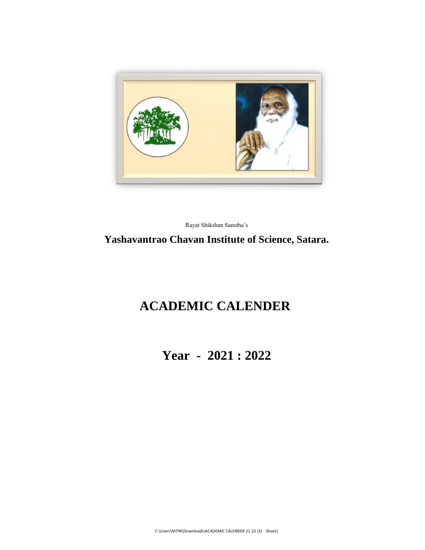

Rayat Shikshan Sanstha's

#### **Yashavantrao Chavan Institute of Science, Satara.**

# **ACADEMIC CALENDER**

**Year - 2021 : 2022**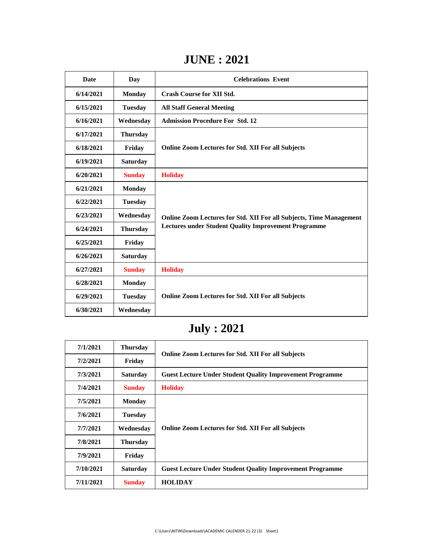### **JUNE : 2021**

| <b>Date</b> | Day             | <b>Celebrations Event</b>                                                                                                          |
|-------------|-----------------|------------------------------------------------------------------------------------------------------------------------------------|
| 6/14/2021   | <b>Monday</b>   | <b>Crash Course for XII Std.</b>                                                                                                   |
| 6/15/2021   | <b>Tuesday</b>  | <b>All Staff General Meeting</b>                                                                                                   |
| 6/16/2021   | Wednesday       | <b>Admission Procedure For Std. 12</b>                                                                                             |
| 6/17/2021   | <b>Thursday</b> |                                                                                                                                    |
| 6/18/2021   | Friday          | <b>Online Zoom Lectures for Std. XII For all Subjects</b>                                                                          |
| 6/19/2021   | <b>Saturday</b> |                                                                                                                                    |
| 6/20/2021   | <b>Sunday</b>   | <b>Holiday</b>                                                                                                                     |
| 6/21/2021   | <b>Monday</b>   | Online Zoom Lectures for Std. XII For all Subjects, Time Management<br><b>Lectures under Student Quality Improvement Programme</b> |
| 6/22/2021   | <b>Tuesday</b>  |                                                                                                                                    |
| 6/23/2021   | Wednesday       |                                                                                                                                    |
| 6/24/2021   | <b>Thursday</b> |                                                                                                                                    |
| 6/25/2021   | Friday          |                                                                                                                                    |
| 6/26/2021   | <b>Saturday</b> |                                                                                                                                    |
| 6/27/2021   | <b>Sunday</b>   | <b>Holiday</b>                                                                                                                     |
| 6/28/2021   | <b>Monday</b>   |                                                                                                                                    |
| 6/29/2021   | <b>Tuesday</b>  | <b>Online Zoom Lectures for Std. XII For all Subjects</b>                                                                          |
| 6/30/2021   | Wednesday       |                                                                                                                                    |

# **July : 2021**

| 7/1/2021  | <b>Thursday</b> |                                                                  |
|-----------|-----------------|------------------------------------------------------------------|
| 7/2/2021  | Friday          | <b>Online Zoom Lectures for Std. XII For all Subjects</b>        |
| 7/3/2021  | <b>Saturday</b> | <b>Guest Lecture Under Student Quality Improvement Programme</b> |
| 7/4/2021  | <b>Sunday</b>   | <b>Holiday</b>                                                   |
| 7/5/2021  | <b>Monday</b>   | <b>Online Zoom Lectures for Std. XII For all Subjects</b>        |
| 7/6/2021  | <b>Tuesday</b>  |                                                                  |
| 7/7/2021  | Wednesdav       |                                                                  |
| 7/8/2021  | <b>Thursday</b> |                                                                  |
| 7/9/2021  | Friday          |                                                                  |
| 7/10/2021 | <b>Saturday</b> | <b>Guest Lecture Under Student Quality Improvement Programme</b> |
| 7/11/2021 | <b>Sunday</b>   | <b>HOLIDAY</b>                                                   |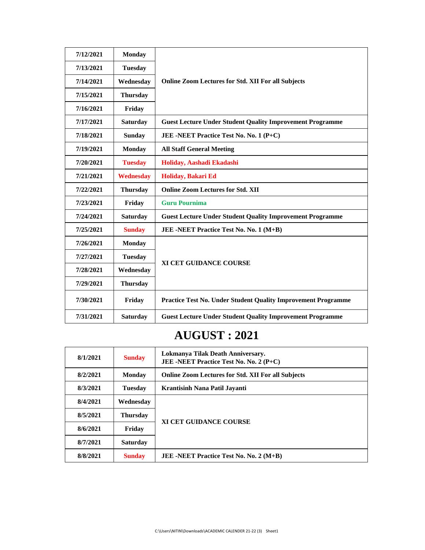| 7/12/2021 | <b>Monday</b>    |                                                                      |
|-----------|------------------|----------------------------------------------------------------------|
| 7/13/2021 | <b>Tuesday</b>   |                                                                      |
| 7/14/2021 | Wednesday        | <b>Online Zoom Lectures for Std. XII For all Subjects</b>            |
| 7/15/2021 | <b>Thursday</b>  |                                                                      |
| 7/16/2021 | Friday           |                                                                      |
| 7/17/2021 | <b>Saturday</b>  | <b>Guest Lecture Under Student Quality Improvement Programme</b>     |
| 7/18/2021 | <b>Sunday</b>    | JEE -NEET Practice Test No. No. 1 (P+C)                              |
| 7/19/2021 | <b>Monday</b>    | <b>All Staff General Meeting</b>                                     |
| 7/20/2021 | <b>Tuesday</b>   | Holiday, Aashadi Ekadashi                                            |
| 7/21/2021 | <b>Wednesday</b> | Holiday, Bakari Ed                                                   |
| 7/22/2021 | <b>Thursday</b>  | <b>Online Zoom Lectures for Std. XII</b>                             |
| 7/23/2021 | Friday           | <b>Guru Pournima</b>                                                 |
| 7/24/2021 | <b>Saturday</b>  | <b>Guest Lecture Under Student Quality Improvement Programme</b>     |
| 7/25/2021 | <b>Sunday</b>    | JEE -NEET Practice Test No. No. 1 (M+B)                              |
| 7/26/2021 | <b>Monday</b>    |                                                                      |
| 7/27/2021 | <b>Tuesday</b>   | <b>XI CET GUIDANCE COURSE</b>                                        |
| 7/28/2021 | Wednesday        |                                                                      |
| 7/29/2021 | <b>Thursday</b>  |                                                                      |
| 7/30/2021 | Friday           | <b>Practice Test No. Under Student Quality Improvement Programme</b> |
| 7/31/2021 | <b>Saturday</b>  | <b>Guest Lecture Under Student Quality Improvement Programme</b>     |

## **AUGUST : 2021**

| 8/1/2021 | <b>Sunday</b>   | Lokmanya Tilak Death Anniversary.<br><b>JEE -NEET Practice Test No. No. 2 (P+C)</b> |
|----------|-----------------|-------------------------------------------------------------------------------------|
| 8/2/2021 | Monday          | <b>Online Zoom Lectures for Std. XII For all Subjects</b>                           |
| 8/3/2021 | <b>Tuesday</b>  | Krantisinh Nana Patil Javanti                                                       |
| 8/4/2021 | Wednesday       | <b>XI CET GUIDANCE COURSE</b>                                                       |
| 8/5/2021 | Thursday        |                                                                                     |
| 8/6/2021 | Friday          |                                                                                     |
| 8/7/2021 | <b>Saturday</b> |                                                                                     |
| 8/8/2021 | <b>Sunday</b>   | JEE -NEET Practice Test No. No. 2 (M+B)                                             |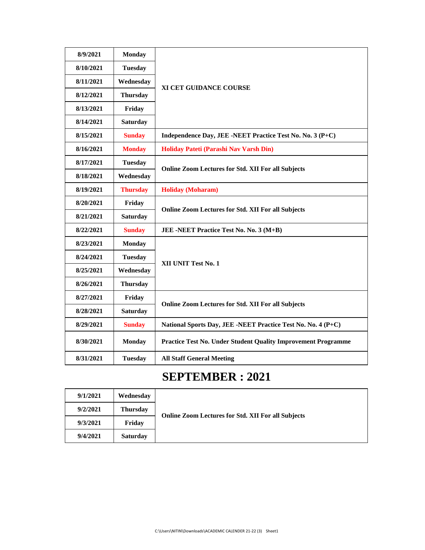| 8/9/2021  | <b>Monday</b>   |                                                               |
|-----------|-----------------|---------------------------------------------------------------|
| 8/10/2021 | <b>Tuesday</b>  |                                                               |
| 8/11/2021 | Wednesday       | XI CET GUIDANCE COURSE                                        |
| 8/12/2021 | <b>Thursday</b> |                                                               |
| 8/13/2021 | Friday          |                                                               |
| 8/14/2021 | <b>Saturday</b> |                                                               |
| 8/15/2021 | <b>Sunday</b>   | Independence Day, JEE -NEET Practice Test No. No. 3 (P+C)     |
| 8/16/2021 | <b>Monday</b>   | Holiday Pateti (Parashi Nav Varsh Din)                        |
| 8/17/2021 | <b>Tuesday</b>  |                                                               |
| 8/18/2021 | Wednesday       | <b>Online Zoom Lectures for Std. XII For all Subjects</b>     |
| 8/19/2021 | <b>Thursday</b> | <b>Holiday (Moharam)</b>                                      |
| 8/20/2021 | Friday          |                                                               |
| 8/21/2021 | <b>Saturday</b> | <b>Online Zoom Lectures for Std. XII For all Subjects</b>     |
| 8/22/2021 | <b>Sunday</b>   | JEE -NEET Practice Test No. No. 3 (M+B)                       |
| 8/23/2021 | <b>Monday</b>   |                                                               |
| 8/24/2021 | <b>Tuesday</b>  |                                                               |
| 8/25/2021 | Wednesday       | XII UNIT Test No. 1                                           |
| 8/26/2021 | <b>Thursday</b> |                                                               |
| 8/27/2021 | Friday          |                                                               |
| 8/28/2021 | <b>Saturday</b> | <b>Online Zoom Lectures for Std. XII For all Subjects</b>     |
| 8/29/2021 | <b>Sunday</b>   | National Sports Day, JEE -NEET Practice Test No. No. 4 (P+C)  |
| 8/30/2021 | <b>Monday</b>   | Practice Test No. Under Student Quality Improvement Programme |
| 8/31/2021 | <b>Tuesday</b>  | <b>All Staff General Meeting</b>                              |

### **SEPTEMBER : 2021**

| 9/1/2021 | Wednesdav       | <b>Online Zoom Lectures for Std. XII For all Subjects</b> |
|----------|-----------------|-----------------------------------------------------------|
| 9/2/2021 | Thursday        |                                                           |
| 9/3/2021 | Friday          |                                                           |
| 9/4/2021 | <b>Saturday</b> |                                                           |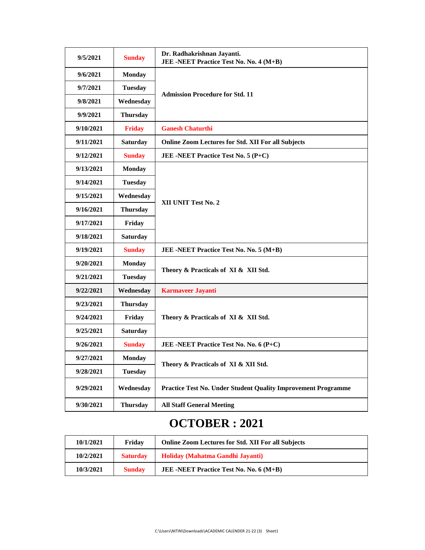| 9/5/2021  | <b>Sunday</b>   | Dr. Radhakrishnan Jayanti.<br>JEE -NEET Practice Test No. No. 4 (M+B) |
|-----------|-----------------|-----------------------------------------------------------------------|
| 9/6/2021  | <b>Monday</b>   |                                                                       |
| 9/7/2021  | <b>Tuesday</b>  |                                                                       |
| 9/8/2021  | Wednesday       | <b>Admission Procedure for Std. 11</b>                                |
| 9/9/2021  | <b>Thursday</b> |                                                                       |
| 9/10/2021 | <b>Friday</b>   | <b>Ganesh Chaturthi</b>                                               |
| 9/11/2021 | <b>Saturday</b> | <b>Online Zoom Lectures for Std. XII For all Subjects</b>             |
| 9/12/2021 | <b>Sunday</b>   | JEE -NEET Practice Test No. 5 (P+C)                                   |
| 9/13/2021 | <b>Monday</b>   |                                                                       |
| 9/14/2021 | <b>Tuesday</b>  |                                                                       |
| 9/15/2021 | Wednesday       |                                                                       |
| 9/16/2021 | <b>Thursday</b> | XII UNIT Test No. 2                                                   |
| 9/17/2021 | Friday          |                                                                       |
| 9/18/2021 | <b>Saturday</b> |                                                                       |
| 9/19/2021 | <b>Sunday</b>   | JEE -NEET Practice Test No. No. 5 (M+B)                               |
| 9/20/2021 | <b>Monday</b>   | Theory & Practicals of XI & XII Std.                                  |
| 9/21/2021 | <b>Tuesday</b>  |                                                                       |
| 9/22/2021 | Wednesday       | <b>Karmaveer Jayanti</b>                                              |
| 9/23/2021 | <b>Thursday</b> |                                                                       |
| 9/24/2021 | Friday          | Theory & Practicals of XI & XII Std.                                  |
| 9/25/2021 | <b>Saturday</b> |                                                                       |
| 9/26/2021 | <b>Sunday</b>   | JEE -NEET Practice Test No. No. 6 (P+C)                               |
| 9/27/2021 | <b>Monday</b>   | Theory & Practicals of XI & XII Std.                                  |
| 9/28/2021 | <b>Tuesday</b>  |                                                                       |
| 9/29/2021 | Wednesday       | <b>Practice Test No. Under Student Quality Improvement Programme</b>  |
| 9/30/2021 | <b>Thursday</b> | <b>All Staff General Meeting</b>                                      |

### **OCTOBER : 2021**

| 10/1/2021 | Fridav          | <b>Online Zoom Lectures for Std. XII For all Subjects</b> |
|-----------|-----------------|-----------------------------------------------------------|
| 10/2/2021 | <b>Saturday</b> | Holiday (Mahatma Gandhi Javanti)                          |
| 10/3/2021 | <b>Sunday</b>   | <b>JEE</b> -NEET Practice Test No. No. $6(M+B)$           |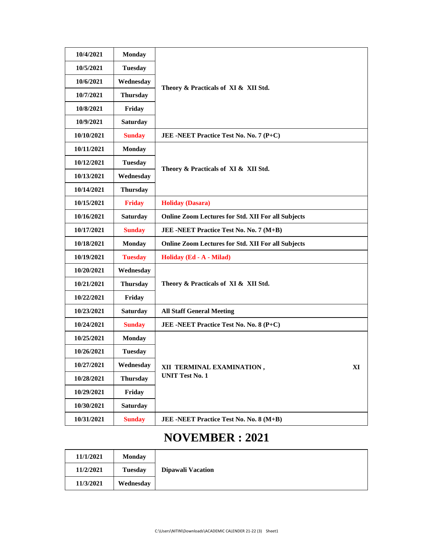| 10/4/2021  | <b>Monday</b>   |                                                           |
|------------|-----------------|-----------------------------------------------------------|
| 10/5/2021  | <b>Tuesday</b>  |                                                           |
| 10/6/2021  | Wednesday       | Theory & Practicals of XI & XII Std.                      |
| 10/7/2021  | <b>Thursday</b> |                                                           |
| 10/8/2021  | Friday          |                                                           |
| 10/9/2021  | <b>Saturday</b> |                                                           |
| 10/10/2021 | <b>Sunday</b>   | JEE -NEET Practice Test No. No. 7 (P+C)                   |
| 10/11/2021 | <b>Monday</b>   |                                                           |
| 10/12/2021 | <b>Tuesday</b>  |                                                           |
| 10/13/2021 | Wednesday       | Theory & Practicals of XI & XII Std.                      |
| 10/14/2021 | <b>Thursday</b> |                                                           |
| 10/15/2021 | <b>Friday</b>   | <b>Holiday (Dasara)</b>                                   |
| 10/16/2021 | <b>Saturday</b> | <b>Online Zoom Lectures for Std. XII For all Subjects</b> |
| 10/17/2021 | <b>Sunday</b>   | JEE -NEET Practice Test No. No. 7 (M+B)                   |
| 10/18/2021 | <b>Monday</b>   | <b>Online Zoom Lectures for Std. XII For all Subjects</b> |
| 10/19/2021 | <b>Tuesday</b>  | Holiday (Ed - A - Milad)                                  |
| 10/20/2021 | Wednesday       |                                                           |
| 10/21/2021 | <b>Thursday</b> | Theory & Practicals of XI & XII Std.                      |
| 10/22/2021 | Friday          |                                                           |
| 10/23/2021 | <b>Saturday</b> | <b>All Staff General Meeting</b>                          |
| 10/24/2021 | <b>Sunday</b>   | JEE -NEET Practice Test No. No. 8 (P+C)                   |
| 10/25/2021 | <b>Monday</b>   |                                                           |
| 10/26/2021 | <b>Tuesday</b>  |                                                           |
| 10/27/2021 | Wednesday       | XII TERMINAL EXAMINATION,<br>XI                           |
| 10/28/2021 | <b>Thursday</b> | <b>UNIT Test No. 1</b>                                    |
| 10/29/2021 | Friday          |                                                           |
| 10/30/2021 | <b>Saturday</b> |                                                           |
| 10/31/2021 | <b>Sunday</b>   | JEE -NEET Practice Test No. No. 8 (M+B)                   |

## **NOVEMBER : 2021**

| 11/1/2021 | Monday         |                   |
|-----------|----------------|-------------------|
| 11/2/2021 | <b>Tuesday</b> | Dipawali Vacation |
| 11/3/2021 | Wednesday      |                   |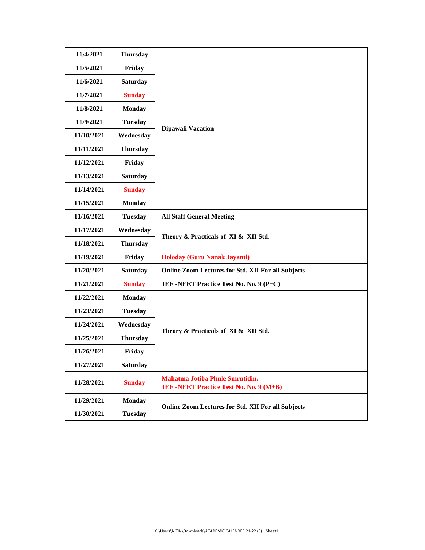| 11/4/2021  | <b>Thursday</b> |                                                                                          |
|------------|-----------------|------------------------------------------------------------------------------------------|
| 11/5/2021  | Friday          |                                                                                          |
| 11/6/2021  | <b>Saturday</b> |                                                                                          |
| 11/7/2021  | <b>Sunday</b>   |                                                                                          |
| 11/8/2021  | <b>Monday</b>   |                                                                                          |
| 11/9/2021  | <b>Tuesday</b>  |                                                                                          |
| 11/10/2021 | Wednesday       | <b>Dipawali Vacation</b>                                                                 |
| 11/11/2021 | <b>Thursday</b> |                                                                                          |
| 11/12/2021 | Friday          |                                                                                          |
| 11/13/2021 | <b>Saturday</b> |                                                                                          |
| 11/14/2021 | <b>Sunday</b>   |                                                                                          |
| 11/15/2021 | <b>Monday</b>   |                                                                                          |
| 11/16/2021 | <b>Tuesday</b>  | <b>All Staff General Meeting</b>                                                         |
| 11/17/2021 | Wednesday       | Theory & Practicals of XI & XII Std.                                                     |
| 11/18/2021 | <b>Thursday</b> |                                                                                          |
| 11/19/2021 | Friday          | <b>Holoday (Guru Nanak Jayanti)</b>                                                      |
| 11/20/2021 | <b>Saturday</b> | <b>Online Zoom Lectures for Std. XII For all Subjects</b>                                |
| 11/21/2021 | <b>Sunday</b>   | JEE -NEET Practice Test No. No. 9 (P+C)                                                  |
| 11/22/2021 | <b>Monday</b>   |                                                                                          |
| 11/23/2021 | <b>Tuesday</b>  |                                                                                          |
| 11/24/2021 | Wednesday       | Theory & Practicals of XI & XII Std.                                                     |
| 11/25/2021 | <b>Thursday</b> |                                                                                          |
| 11/26/2021 | Friday          |                                                                                          |
| 11/27/2021 | <b>Saturday</b> |                                                                                          |
| 11/28/2021 | <b>Sunday</b>   | <b>Mahatma Jotiba Phule Smrutidin.</b><br><b>JEE -NEET Practice Test No. No. 9 (M+B)</b> |
| 11/29/2021 | <b>Monday</b>   | <b>Online Zoom Lectures for Std. XII For all Subjects</b>                                |
| 11/30/2021 | <b>Tuesday</b>  |                                                                                          |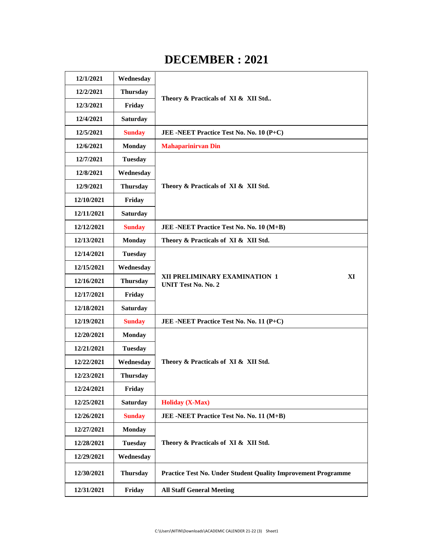### **DECEMBER : 2021**

| 12/1/2021  | Wednesday       | Theory & Practicals of XI & XII Std                                  |
|------------|-----------------|----------------------------------------------------------------------|
| 12/2/2021  | <b>Thursday</b> |                                                                      |
| 12/3/2021  | Friday          |                                                                      |
| 12/4/2021  | <b>Saturday</b> |                                                                      |
| 12/5/2021  | <b>Sunday</b>   | JEE -NEET Practice Test No. No. 10 (P+C)                             |
| 12/6/2021  | <b>Monday</b>   | <b>Mahaparinirvan Din</b>                                            |
| 12/7/2021  | <b>Tuesday</b>  |                                                                      |
| 12/8/2021  | Wednesday       |                                                                      |
| 12/9/2021  | <b>Thursday</b> | Theory & Practicals of XI & XII Std.                                 |
| 12/10/2021 | Friday          |                                                                      |
| 12/11/2021 | <b>Saturday</b> |                                                                      |
| 12/12/2021 | <b>Sunday</b>   | JEE -NEET Practice Test No. No. 10 (M+B)                             |
| 12/13/2021 | <b>Monday</b>   | Theory & Practicals of XI & XII Std.                                 |
| 12/14/2021 | <b>Tuesday</b>  |                                                                      |
| 12/15/2021 | Wednesday       |                                                                      |
| 12/16/2021 | <b>Thursday</b> | XI<br>XII PRELIMINARY EXAMINATION 1<br><b>UNIT Test No. No. 2</b>    |
| 12/17/2021 | Friday          |                                                                      |
| 12/18/2021 | <b>Saturday</b> |                                                                      |
| 12/19/2021 | <b>Sunday</b>   | JEE -NEET Practice Test No. No. 11 (P+C)                             |
| 12/20/2021 | <b>Monday</b>   |                                                                      |
| 12/21/2021 | <b>Tuesday</b>  |                                                                      |
| 12/22/2021 | Wednesday       | Theory & Practicals of XI & XII Std.                                 |
| 12/23/2021 | <b>Thursday</b> |                                                                      |
| 12/24/2021 | Friday          |                                                                      |
| 12/25/2021 | <b>Saturday</b> | <b>Holiday</b> (X-Max)                                               |
| 12/26/2021 | <b>Sunday</b>   | JEE -NEET Practice Test No. No. 11 (M+B)                             |
| 12/27/2021 | <b>Monday</b>   |                                                                      |
| 12/28/2021 | <b>Tuesday</b>  | Theory & Practicals of XI & XII Std.                                 |
| 12/29/2021 | Wednesday       |                                                                      |
| 12/30/2021 | <b>Thursday</b> | <b>Practice Test No. Under Student Quality Improvement Programme</b> |
| 12/31/2021 | Friday          | <b>All Staff General Meeting</b>                                     |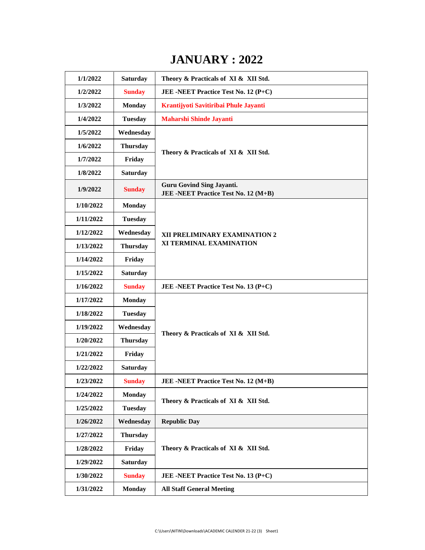### **JANUARY : 2022**

| 1/1/2022  | <b>Saturday</b> | Theory & Practicals of XI & XII Std.                                     |
|-----------|-----------------|--------------------------------------------------------------------------|
| 1/2/2022  | <b>Sunday</b>   | JEE -NEET Practice Test No. 12 (P+C)                                     |
| 1/3/2022  | <b>Monday</b>   | Krantijyoti Savitiribai Phule Jayanti                                    |
| 1/4/2022  | <b>Tuesday</b>  | <b>Maharshi Shinde Jayanti</b>                                           |
| 1/5/2022  | Wednesday       |                                                                          |
| 1/6/2022  | <b>Thursday</b> | Theory & Practicals of XI & XII Std.                                     |
| 1/7/2022  | Friday          |                                                                          |
| 1/8/2022  | <b>Saturday</b> |                                                                          |
| 1/9/2022  | <b>Sunday</b>   | <b>Guru Govind Sing Jayanti.</b><br>JEE -NEET Practice Test No. 12 (M+B) |
| 1/10/2022 | <b>Monday</b>   | XII PRELIMINARY EXAMINATION 2<br>XI TERMINAL EXAMINATION                 |
| 1/11/2022 | <b>Tuesday</b>  |                                                                          |
| 1/12/2022 | Wednesday       |                                                                          |
| 1/13/2022 | <b>Thursday</b> |                                                                          |
| 1/14/2022 | Friday          |                                                                          |
| 1/15/2022 | <b>Saturday</b> |                                                                          |
| 1/16/2022 | <b>Sunday</b>   | JEE -NEET Practice Test No. 13 (P+C)                                     |
| 1/17/2022 | <b>Monday</b>   |                                                                          |
| 1/18/2022 | <b>Tuesday</b>  |                                                                          |
| 1/19/2022 | Wednesday       | Theory & Practicals of XI & XII Std.                                     |
| 1/20/2022 | <b>Thursday</b> |                                                                          |
| 1/21/2022 | Friday          |                                                                          |
| 1/22/2022 | <b>Saturday</b> |                                                                          |
| 1/23/2022 | <b>Sunday</b>   | JEE -NEET Practice Test No. 12 (M+B)                                     |
| 1/24/2022 | <b>Monday</b>   | Theory & Practicals of XI & XII Std.                                     |
| 1/25/2022 | <b>Tuesday</b>  |                                                                          |
| 1/26/2022 | Wednesday       | <b>Republic Day</b>                                                      |
| 1/27/2022 | <b>Thursday</b> |                                                                          |
| 1/28/2022 | Friday          | Theory & Practicals of XI & XII Std.                                     |
| 1/29/2022 | <b>Saturday</b> |                                                                          |
| 1/30/2022 | <b>Sunday</b>   | JEE -NEET Practice Test No. 13 (P+C)                                     |
| 1/31/2022 | <b>Monday</b>   | <b>All Staff General Meeting</b>                                         |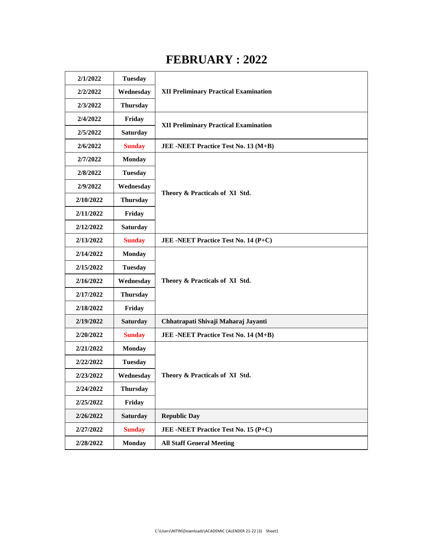### **FEBRUARY : 2022**

| 2/1/2022  | <b>Tuesday</b>  |                                              |
|-----------|-----------------|----------------------------------------------|
| 2/2/2022  | Wednesday       | <b>XII Preliminary Practical Examination</b> |
| 2/3/2022  | <b>Thursday</b> |                                              |
| 2/4/2022  | Friday          | <b>XII Preliminary Practical Examination</b> |
| 2/5/2022  | <b>Saturday</b> |                                              |
| 2/6/2022  | <b>Sunday</b>   | JEE -NEET Practice Test No. 13 (M+B)         |
| 2/7/2022  | <b>Monday</b>   | Theory & Practicals of XI Std.               |
| 2/8/2022  | <b>Tuesday</b>  |                                              |
| 2/9/2022  | Wednesday       |                                              |
| 2/10/2022 | <b>Thursday</b> |                                              |
| 2/11/2022 | Friday          |                                              |
| 2/12/2022 | <b>Saturday</b> |                                              |
| 2/13/2022 | <b>Sunday</b>   | JEE -NEET Practice Test No. 14 (P+C)         |
| 2/14/2022 | <b>Monday</b>   | Theory & Practicals of XI Std.               |
| 2/15/2022 | <b>Tuesday</b>  |                                              |
| 2/16/2022 | Wednesday       |                                              |
| 2/17/2022 | <b>Thursday</b> |                                              |
| 2/18/2022 | Friday          |                                              |
| 2/19/2022 | <b>Saturday</b> | Chhatrapati Shivaji Maharaj Jayanti          |
| 2/20/2022 | <b>Sunday</b>   | JEE -NEET Practice Test No. 14 (M+B)         |
| 2/21/2022 | <b>Monday</b>   |                                              |
| 2/22/2022 | <b>Tuesday</b>  | Theory & Practicals of XI Std.               |
| 2/23/2022 | Wednesday       |                                              |
| 2/24/2022 | <b>Thursday</b> |                                              |
| 2/25/2022 | Friday          |                                              |
| 2/26/2022 | <b>Saturday</b> | <b>Republic Day</b>                          |
| 2/27/2022 | <b>Sunday</b>   | JEE -NEET Practice Test No. 15 (P+C)         |
| 2/28/2022 | <b>Monday</b>   | <b>All Staff General Meeting</b>             |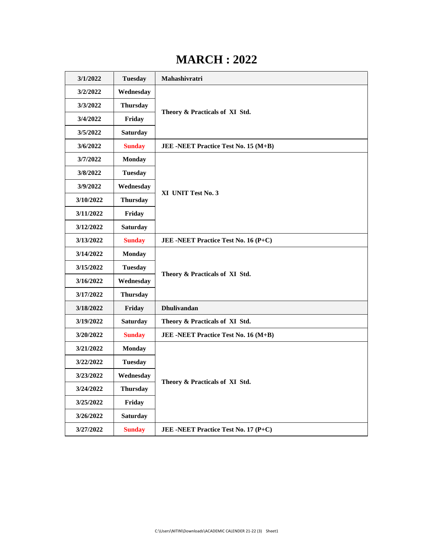#### **MARCH : 2022**

| 3/1/2022  | <b>Tuesday</b>  | Mahashivratri                        |
|-----------|-----------------|--------------------------------------|
| 3/2/2022  | Wednesday       | Theory & Practicals of XI Std.       |
| 3/3/2022  | <b>Thursday</b> |                                      |
| 3/4/2022  | Friday          |                                      |
| 3/5/2022  | <b>Saturday</b> |                                      |
| 3/6/2022  | <b>Sunday</b>   | JEE -NEET Practice Test No. 15 (M+B) |
| 3/7/2022  | <b>Monday</b>   | XI UNIT Test No. 3                   |
| 3/8/2022  | <b>Tuesday</b>  |                                      |
| 3/9/2022  | Wednesday       |                                      |
| 3/10/2022 | <b>Thursday</b> |                                      |
| 3/11/2022 | Friday          |                                      |
| 3/12/2022 | <b>Saturday</b> |                                      |
| 3/13/2022 | <b>Sunday</b>   | JEE -NEET Practice Test No. 16 (P+C) |
| 3/14/2022 | <b>Monday</b>   | Theory & Practicals of XI Std.       |
| 3/15/2022 | <b>Tuesday</b>  |                                      |
| 3/16/2022 | Wednesday       |                                      |
| 3/17/2022 | <b>Thursday</b> |                                      |
| 3/18/2022 | Friday          | <b>Dhulivandan</b>                   |
| 3/19/2022 | <b>Saturday</b> | Theory & Practicals of XI Std.       |
| 3/20/2022 | <b>Sunday</b>   | JEE -NEET Practice Test No. 16 (M+B) |
| 3/21/2022 | <b>Monday</b>   |                                      |
| 3/22/2022 | <b>Tuesday</b>  | Theory & Practicals of XI Std.       |
| 3/23/2022 | Wednesday       |                                      |
| 3/24/2022 | <b>Thursday</b> |                                      |
| 3/25/2022 | Friday          |                                      |
| 3/26/2022 | <b>Saturday</b> |                                      |
| 3/27/2022 | <b>Sunday</b>   | JEE -NEET Practice Test No. 17 (P+C) |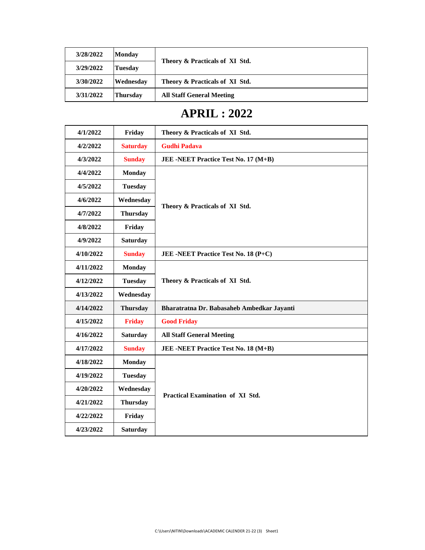| 3/28/2022 | <b>Monday</b>   | Theory & Practicals of XI Std.   |
|-----------|-----------------|----------------------------------|
| 3/29/2022 | Tuesdav         |                                  |
| 3/30/2022 | Wednesday       | Theory & Practicals of XI Std.   |
| 3/31/2022 | <b>Thursday</b> | <b>All Staff General Meeting</b> |

### **APRIL : 2022**

| 4/1/2022  | Friday          | Theory & Practicals of XI Std.             |
|-----------|-----------------|--------------------------------------------|
| 4/2/2022  | <b>Saturday</b> | <b>Gudhi Padava</b>                        |
| 4/3/2022  | <b>Sunday</b>   | JEE -NEET Practice Test No. 17 (M+B)       |
| 4/4/2022  | <b>Monday</b>   | Theory & Practicals of XI Std.             |
| 4/5/2022  | <b>Tuesday</b>  |                                            |
| 4/6/2022  | Wednesday       |                                            |
| 4/7/2022  | <b>Thursday</b> |                                            |
| 4/8/2022  | Friday          |                                            |
| 4/9/2022  | <b>Saturday</b> |                                            |
| 4/10/2022 | <b>Sunday</b>   | JEE -NEET Practice Test No. 18 (P+C)       |
| 4/11/2022 | <b>Monday</b>   | Theory & Practicals of XI Std.             |
| 4/12/2022 | <b>Tuesday</b>  |                                            |
| 4/13/2022 | Wednesday       |                                            |
| 4/14/2022 | <b>Thursday</b> | Bharatratna Dr. Babasaheb Ambedkar Jayanti |
| 4/15/2022 | <b>Friday</b>   | <b>Good Friday</b>                         |
| 4/16/2022 | <b>Saturday</b> | <b>All Staff General Meeting</b>           |
| 4/17/2022 | <b>Sunday</b>   | JEE -NEET Practice Test No. 18 (M+B)       |
| 4/18/2022 | <b>Monday</b>   | Practical Examination of XI Std.           |
| 4/19/2022 | <b>Tuesday</b>  |                                            |
| 4/20/2022 | Wednesday       |                                            |
| 4/21/2022 | <b>Thursday</b> |                                            |
| 4/22/2022 | Friday          |                                            |
| 4/23/2022 | <b>Saturday</b> |                                            |